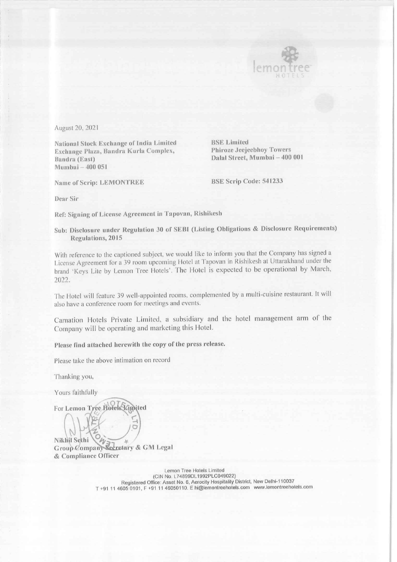

I

August 20, 2021

National Stock Exchange of India Limited<br>Exchange Plaza, Bandra Kurla Complex, Phiroze Jeejeebhoy Towers Exchange Plaza, Bandra Kurla Complex, Bandra (East) Dalal Street, Mumbai —400 001 Mumbai — 400 051

Name of Scrip: LEMONTREE BSE Scrip Code: 541233

Dear Sir

Ref: Signing of License Agreement in Tapovan, Rishikesh

Sub: Disclosure under Regulation 30 of SEBI (Listing Obligations & Disclosure Requirements) Regulations, 2015

With reference to the captioned subject, we would like to inform you that the Company has signed a License Agreement for a 39 room upcoming Hotel at Tapovan in Rishikesh at Uttarakhand under the brand 'Keys Lite by Lemon Tree Hotels'. The Hotel is expected to be operational by March, 2022.

The Hotel will feature 39 well-appointed rooms, complemented by a multi-cuisine restaurant. It will also have a conference room for meetings and events.

Carnation Hotels Private Limited, a subsidiary and the hotel management arm of the Company will be operating and marketing this Hotel.

Please find attached herewith the copy of the press release.

Please take the above intimation on record

Thanking you,

Yours faithfully

For Lemon Tree Hotels Limited

Nikhil Sethi<br>Group Company Secretary & GM Legal & Compliance Officer

> Lemon Tree Hotels Limited (CIN No. L74899DL1992PLC049022) Registered Office: Asset No. 6, Aerocity Hospitality District, New Delhi-110037 T +91 11 4605 0101, F +91 11 46050110. E hi@lemontreehotels.com www.lemontreehotels.com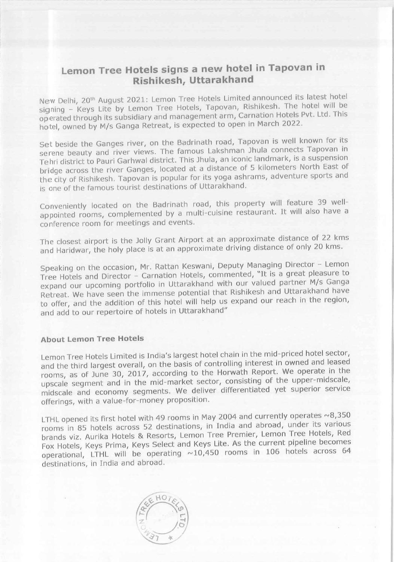## Lemon Tree Hotels signs a new hotel in Tapovan in Rishikesh, Uttarakhand

New Delhi, 20" August 2021: Lemon Tree Hotels Limited announced its latest hotel signing - Keys Lite by Lemon Tree Hotels, Tapovan, Rishikesh. The hotel will be operated through its subsidiary and management arm, Carnation Hotels Pvt. Ltd. This hotel, owned by M/s Ganga Retreat, is expected to open in March 2022.

Set beside the Ganges river, on the Badrinath road, Tapovan is well known for its serene beauty and river views. The famous Lakshman Jhula connects Tapovan in Tehri district to Pauri Garhwal district. This Jhula, an iconic landmark, is a suspension bridge across the river Ganges, located at a distance of 5 kilometers North East of the city of Rishikesh. Tapovan is popular for its yoga ashrams, adventure sports and is one of the famous tourist destinations of Uttarakhand.

Conveniently located on the Badrinath road, this property will feature 39 wellappointed rooms, complemented by a multi-cuisine restaurant. It will also have <sup>a</sup> conference room for meetings and events.

The closest airport is the Jolly Grant Airport at an approximate distance of 22 kms and Haridwar, the holy place is at an approximate driving distance of only 20 kms.

Speaking on the occasion, Mr. Rattan Keswani, Deputy Managing Director - Lemon Tree Hotels and Director - Carnation Hotels, commented, "It is a great pleasure to expand our upcoming portfolio in Uttarakhand with our valued partner M/s Ganga Retreat. We have seen the immense potential that Rishikesh and Uttarakhand have to offer, and the addition of this hotel will help us expand our reach in the region, and add to our repertoire of hotels in Uttarakhand"

## About Lemon Tree Hotels

Lemon Tree Hotels Limited is India's largest hotel chain in the mid-priced hotel sector, and the third largest overall, on the basis of controlling interest in owned and leased rooms, as of June 30, 2017, according to the Horwath Report. We operate in the upscale segment and in the mid-market sector, consisting of the upper-midscale, midscale and economy segments. We deliver differentiated yet superior service offerings, with a value-for-money proposition.

LTHL opened its first hotel with 49 rooms in May 2004 and currently operates  $\sim$ 8,350 rooms in 85 hotels across 52 destinations, in India and abroad, under its various brands viz. Aurika Hotels & Resorts, Lemon Tree Premier, Lemon Tree Hotels, Red Fox Hotels, Keys Prima, Keys Select and Keys Lite. As the current pipeline becomes operational, LTHL will be operating  $\sim 10,450$  rooms in 106 hotels across 64 destinations, in India and abroad.

I